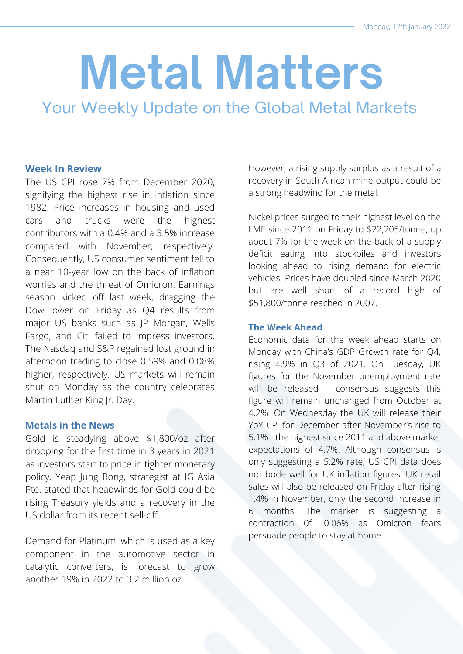# **Metal Matters**

Your Weekly Update on the Global Metal Markets

#### **Week In Review**

The US CPI rose 7% from December 2020, signifying the highest rise in inflation since 1982. Price increases in housing and used cars and trucks were the highest contributors with a 0.4% and a 3.5% increase compared with November, respectively. Consequently, US consumer sentiment fell to a near 10-year low on the back of inflation worries and the threat of Omicron. Earnings season kicked off last week, dragging the Dow lower on Friday as Q4 results from major US banks such as JP Morgan, Wells Fargo, and Citi failed to impress investors. The Nasdaq and S&P regained lost ground in afternoon trading to close 0.59% and 0.08% higher, respectively. US markets will remain shut on Monday as the country celebrates Martin Luther King Jr. Day.

#### **Metals in the News**

Gold is steadying above \$1,800/oz after dropping for the first time in 3 years in 2021 as investors start to price in tighter monetary policy. Yeap Jung Rong, strategist at IG Asia Pte. stated that headwinds for Gold could be rising Treasury yields and a recovery in the US dollar from its recent sell-off.

Demand for Platinum, which is used as a key component in the automotive sector in catalytic converters, is forecast to grow another 19% in 2022 to 3.2 million oz.

However, a rising supply surplus as a result of a recovery in South African mine output could be a strong headwind for the metal.

Nickel prices surged to their highest level on the LME since 2011 on Friday to \$22,205/tonne, up about 7% for the week on the back of a supply deficit eating into stockpiles and investors looking ahead to rising demand for electric vehicles. Prices have doubled since March 2020 but are well short of a record high of \$51,800/tonne reached in 2007.

#### **The Week Ahead**

Economic data for the week ahead starts on Monday with China's GDP Growth rate for Q4, rising 4.9% in Q3 of 2021. On Tuesday, UK figures for the November unemployment rate will be released - consensus suggests this figure will remain unchanged from October at 4.2%. On Wednesday the UK will release their YoY CPI for December after November's rise to 5.1% - the highest since 2011 and above market expectations of 4.7%. Although consensus is only suggesting a 5.2% rate, US CPI data does not bode well for UK inflation figures. UK retail sales will also be released on Friday after rising 1.4% in November, only the second increase in 6 months. The market is suggesting a contraction 0f -0.06% as Omicron fears persuade people to stay at home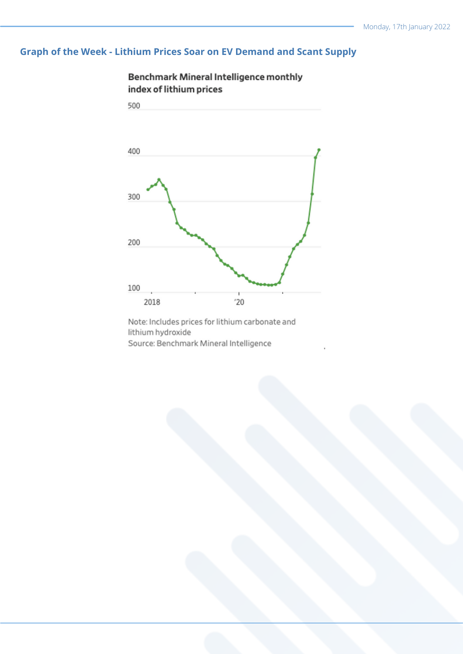# **Graph of the Week - Lithium Prices Soar on EV Demand and Scant Supply**



Note: Includes prices for lithium carbonate and lithium hydroxide Source: Benchmark Mineral Intelligence

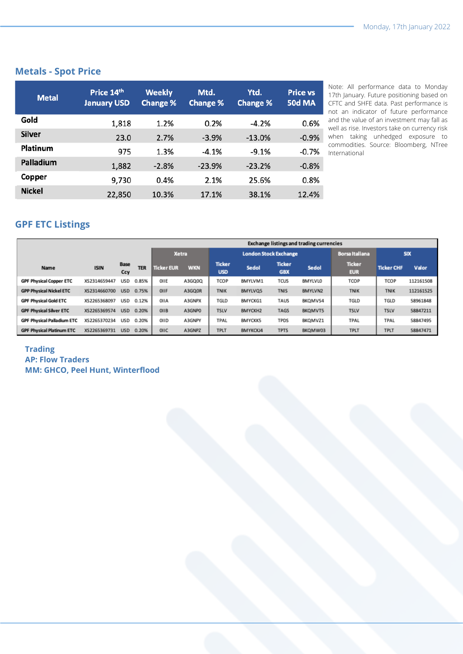## **Metals - Spot Price**

| <b>Metal</b>  | Price 14th<br><b>January USD</b> | <b>Weekly</b><br><b>Change %</b> | Mtd.<br><b>Change %</b> | Ytd.<br><b>Change %</b> | <b>Price vs</b><br><b>50d MA</b> |
|---------------|----------------------------------|----------------------------------|-------------------------|-------------------------|----------------------------------|
| Gold          | 1,818                            | 1.2%                             | 0.2%                    | $-4.2%$                 | 0.6%                             |
| <b>Silver</b> | 23.0                             | 2.7%                             | $-3.9%$                 | $-13.0%$                | $-0.9%$                          |
| Platinum      | 975                              | 1.3%                             | $-4.1%$                 | $-9.1%$                 | $-0.7%$                          |
| Palladium     | 1,882                            | $-2.8%$                          | $-23.9%$                | $-23.2%$                | $-0.8%$                          |
| Copper        | 9,730                            | 0.4%                             | 2.1%                    | 25.6%                   | 0.8%                             |
| <b>Nickel</b> | 22,850                           | 10.3%                            | 17.1%                   | 38.1%                   | 12.4%                            |

Note: All performance data to Monday 17th January. Future positioning based on CFTC and SHFE data. Past performance is not an indicator of future performance and the value of an investment may fall as well as rise. Investors take on currency risk when taking unhedged exposure to commodities. Source: Bloomberg, NTree International

# **GPF ETC Listings**

|                                   |              |                    |            | <b>Exchange listings and trading currencies</b> |            |                              |                |                             |                |                             |                   |           |
|-----------------------------------|--------------|--------------------|------------|-------------------------------------------------|------------|------------------------------|----------------|-----------------------------|----------------|-----------------------------|-------------------|-----------|
|                                   |              |                    |            | Xetra                                           |            | <b>London Stock Exchange</b> |                |                             |                | <b>Borsa Italiana</b>       | <b>SIX</b>        |           |
| Name                              | <b>ISIN</b>  | <b>Base</b><br>Ccy | <b>TER</b> | <b>Ticker EUR</b>                               | <b>WKN</b> | <b>Ticker</b><br><b>USD</b>  | Sedol          | <b>Ticker</b><br><b>GBX</b> | Sedol          | <b>Ticker</b><br><b>EUR</b> | <b>Ticker CHF</b> | Valor     |
| <b>GPF Physical Copper ETC</b>    | XS2314659447 | USD                | 0.85%      | OIIE                                            | A3GQ0Q     | TCOP                         | BMYLVM1        | <b>TCUS</b>                 | <b>BMYLVLO</b> | <b>TCOP</b>                 | TCOP              | 112161508 |
| <b>GPP Physical Nickel ETC</b>    | XS2314660700 | <b>USD</b>         | 0.75%      | OIIF                                            | A3GQ0R     | <b>TNIK</b>                  | BMYLVQ5        | <b>TNIS</b>                 | BMYLVN2        | <b>TNIK</b>                 | <b>TNIK</b>       | 112161525 |
| <b>GPF Physical Gold ETC</b>      | XS2265368097 | <b>USD</b>         | 0.12%      | OIIA                                            | A3GNPX     | TGLD                         | <b>BMYCKG1</b> | <b>TAUS</b>                 | BKQMVS4        | TGLD                        | TGLD              | 58961848  |
| <b>GPF Physical Silver ETC</b>    | XS2265369574 | <b>USD</b>         | 0.20%      | OIIB                                            | A3GNPO     | <b>TSLV</b>                  | BMYCKH2        | <b>TAGS</b>                 | BKQMVT5        | <b>TSLV</b>                 | <b>TSLV</b>       | 58847211  |
| <b>GPF Physical Palladium ETC</b> | XS2265370234 | <b>USD</b>         | 0.20%      | OIID                                            | A3GNPY     | TPAL                         | <b>BMYCKK5</b> | <b>TPDS</b>                 | BKQMVZ1        | TPAL                        | TPAL              | 58847495  |
| <b>GPF Physical Platinum ETC</b>  | XS2265369731 | <b>USD</b>         | 0.20%      | OIIC                                            | A3GNPZ     | <b>TPLT</b>                  | BMYKCKJ4       | <b>TPTS</b>                 | BKQMW03        | <b>TPLT</b>                 | <b>TPLT</b>       | 58847471  |

#### **Trading AP: Flow Traders MM: GHCO, Peel Hunt, Winterflood**